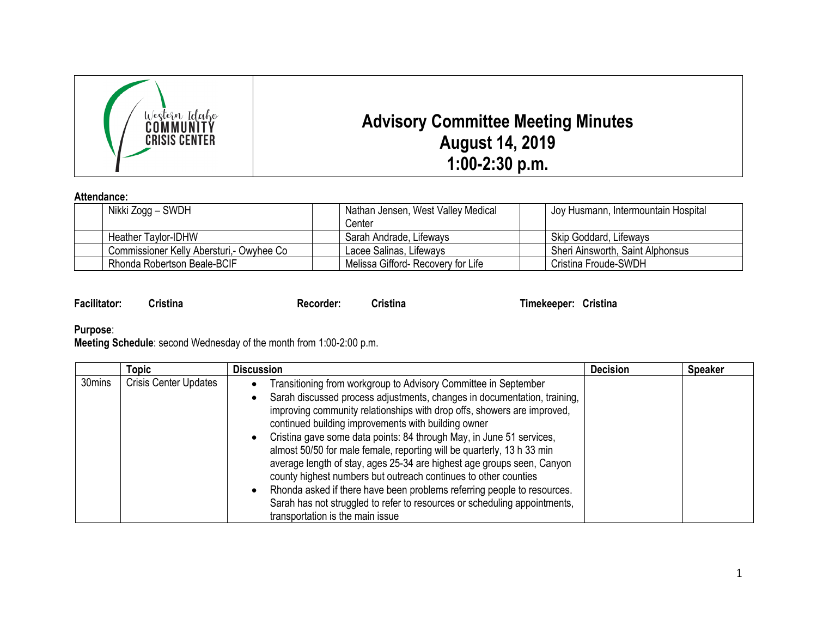

## **Attendance:**

| .                                         |  |                                    |  |                                     |
|-------------------------------------------|--|------------------------------------|--|-------------------------------------|
| Nikki Zogg – SWDH                         |  | Nathan Jensen, West Valley Medical |  | Joy Husmann, Intermountain Hospital |
|                                           |  | Center                             |  |                                     |
| <b>Heather Taylor-IDHW</b>                |  | Sarah Andrade, Lifeways            |  | Skip Goddard, Lifeways              |
| Commissioner Kelly Abersturi, - Owyhee Co |  | Lacee Salinas, Lifeways            |  | Sheri Ainsworth, Saint Alphonsus    |
| Rhonda Robertson Beale-BCIF               |  | Melissa Gifford-Recovery for Life  |  | Cristina Froude-SWDH                |

| <b>Facilitator:</b> | <b>Cristina</b> | Recorder: | <b>Cristina</b> | Timekeeper: Cristina |
|---------------------|-----------------|-----------|-----------------|----------------------|
|                     |                 |           |                 |                      |

**Purpose**:

**Meeting Schedule**: second Wednesday of the month from 1:00-2:00 p.m.

|        | Topic                        | <b>Discussion</b>                                                                                                                                                                                                                                                                                                                                                                                                                                                                                                                                                                                                                                                                                                                                                        | <b>Decision</b> | <b>Speaker</b> |
|--------|------------------------------|--------------------------------------------------------------------------------------------------------------------------------------------------------------------------------------------------------------------------------------------------------------------------------------------------------------------------------------------------------------------------------------------------------------------------------------------------------------------------------------------------------------------------------------------------------------------------------------------------------------------------------------------------------------------------------------------------------------------------------------------------------------------------|-----------------|----------------|
| 30mins | <b>Crisis Center Updates</b> | Transitioning from workgroup to Advisory Committee in September<br>Sarah discussed process adjustments, changes in documentation, training,<br>improving community relationships with drop offs, showers are improved,<br>continued building improvements with building owner<br>Cristina gave some data points: 84 through May, in June 51 services,<br>almost 50/50 for male female, reporting will be quarterly, 13 h 33 min<br>average length of stay, ages 25-34 are highest age groups seen, Canyon<br>county highest numbers but outreach continues to other counties<br>Rhonda asked if there have been problems referring people to resources.<br>Sarah has not struggled to refer to resources or scheduling appointments,<br>transportation is the main issue |                 |                |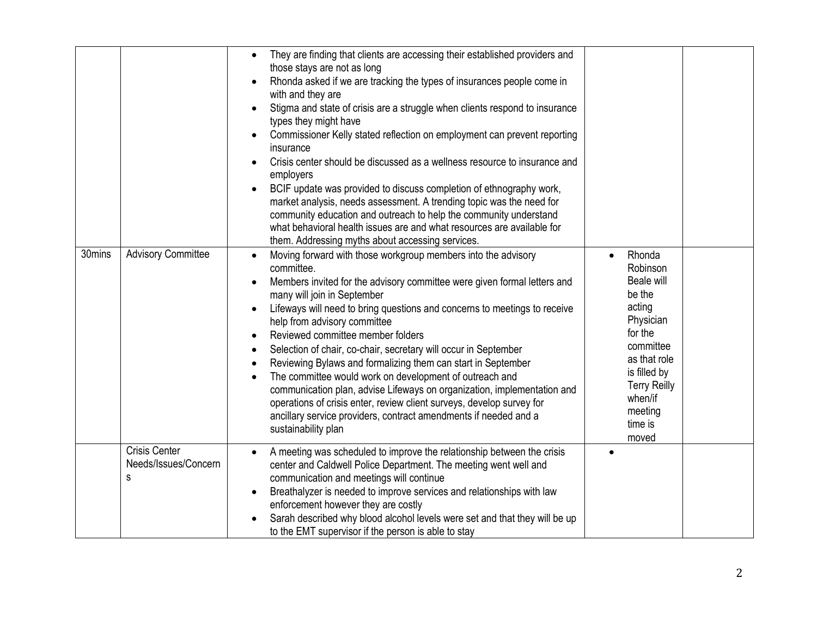|        |                                                   | They are finding that clients are accessing their established providers and<br>$\bullet$<br>those stays are not as long<br>Rhonda asked if we are tracking the types of insurances people come in<br>with and they are<br>Stigma and state of crisis are a struggle when clients respond to insurance<br>types they might have<br>Commissioner Kelly stated reflection on employment can prevent reporting<br>insurance<br>Crisis center should be discussed as a wellness resource to insurance and<br>employers<br>BCIF update was provided to discuss completion of ethnography work,<br>market analysis, needs assessment. A trending topic was the need for<br>community education and outreach to help the community understand<br>what behavioral health issues are and what resources are available for<br>them. Addressing myths about accessing services. |                                                                                                                                                                                                   |  |
|--------|---------------------------------------------------|---------------------------------------------------------------------------------------------------------------------------------------------------------------------------------------------------------------------------------------------------------------------------------------------------------------------------------------------------------------------------------------------------------------------------------------------------------------------------------------------------------------------------------------------------------------------------------------------------------------------------------------------------------------------------------------------------------------------------------------------------------------------------------------------------------------------------------------------------------------------|---------------------------------------------------------------------------------------------------------------------------------------------------------------------------------------------------|--|
| 30mins | <b>Advisory Committee</b>                         | Moving forward with those workgroup members into the advisory<br>committee.<br>Members invited for the advisory committee were given formal letters and<br>many will join in September<br>Lifeways will need to bring questions and concerns to meetings to receive<br>help from advisory committee<br>Reviewed committee member folders<br>Selection of chair, co-chair, secretary will occur in September<br>Reviewing Bylaws and formalizing them can start in September<br>The committee would work on development of outreach and<br>communication plan, advise Lifeways on organization, implementation and<br>operations of crisis enter, review client surveys, develop survey for<br>ancillary service providers, contract amendments if needed and a<br>sustainability plan                                                                               | Rhonda<br>Robinson<br><b>Beale will</b><br>be the<br>acting<br>Physician<br>for the<br>committee<br>as that role<br>is filled by<br><b>Terry Reilly</b><br>when/if<br>meeting<br>time is<br>moved |  |
|        | <b>Crisis Center</b><br>Needs/Issues/Concern<br>s | A meeting was scheduled to improve the relationship between the crisis<br>center and Caldwell Police Department. The meeting went well and<br>communication and meetings will continue<br>Breathalyzer is needed to improve services and relationships with law<br>enforcement however they are costly<br>Sarah described why blood alcohol levels were set and that they will be up<br>to the EMT supervisor if the person is able to stay                                                                                                                                                                                                                                                                                                                                                                                                                         |                                                                                                                                                                                                   |  |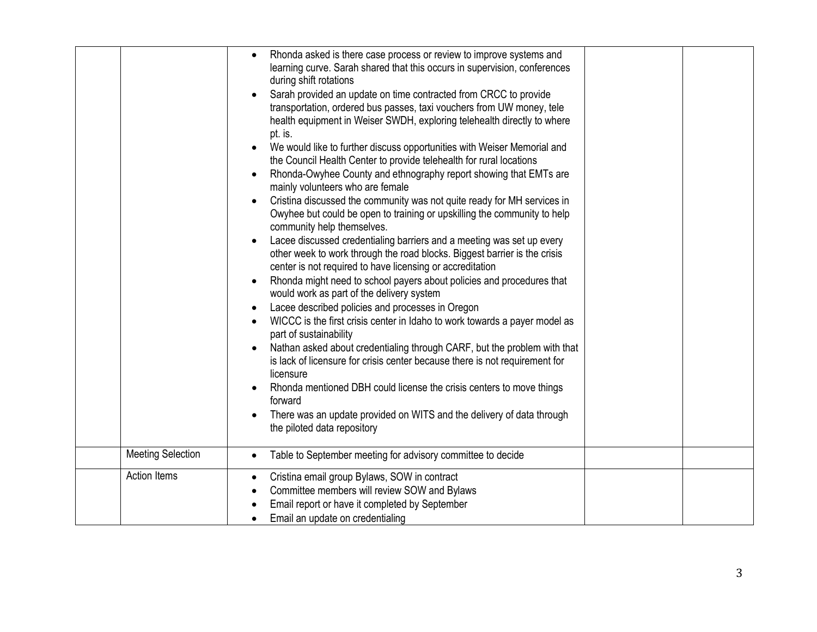|                          | Rhonda asked is there case process or review to improve systems and<br>learning curve. Sarah shared that this occurs in supervision, conferences<br>during shift rotations<br>Sarah provided an update on time contracted from CRCC to provide<br>transportation, ordered bus passes, taxi vouchers from UW money, tele<br>health equipment in Weiser SWDH, exploring telehealth directly to where<br>pt. is.<br>We would like to further discuss opportunities with Weiser Memorial and<br>the Council Health Center to provide telehealth for rural locations<br>Rhonda-Owyhee County and ethnography report showing that EMTs are<br>mainly volunteers who are female<br>Cristina discussed the community was not quite ready for MH services in<br>Owyhee but could be open to training or upskilling the community to help<br>community help themselves.<br>Lacee discussed credentialing barriers and a meeting was set up every<br>other week to work through the road blocks. Biggest barrier is the crisis<br>center is not required to have licensing or accreditation<br>Rhonda might need to school payers about policies and procedures that<br>would work as part of the delivery system<br>Lacee described policies and processes in Oregon<br>WICCC is the first crisis center in Idaho to work towards a payer model as<br>part of sustainability<br>Nathan asked about credentialing through CARF, but the problem with that<br>is lack of licensure for crisis center because there is not requirement for |
|--------------------------|-------------------------------------------------------------------------------------------------------------------------------------------------------------------------------------------------------------------------------------------------------------------------------------------------------------------------------------------------------------------------------------------------------------------------------------------------------------------------------------------------------------------------------------------------------------------------------------------------------------------------------------------------------------------------------------------------------------------------------------------------------------------------------------------------------------------------------------------------------------------------------------------------------------------------------------------------------------------------------------------------------------------------------------------------------------------------------------------------------------------------------------------------------------------------------------------------------------------------------------------------------------------------------------------------------------------------------------------------------------------------------------------------------------------------------------------------------------------------------------------------------------------------------|
|                          | licensure<br>Rhonda mentioned DBH could license the crisis centers to move things<br>forward                                                                                                                                                                                                                                                                                                                                                                                                                                                                                                                                                                                                                                                                                                                                                                                                                                                                                                                                                                                                                                                                                                                                                                                                                                                                                                                                                                                                                                  |
|                          | There was an update provided on WITS and the delivery of data through<br>the piloted data repository                                                                                                                                                                                                                                                                                                                                                                                                                                                                                                                                                                                                                                                                                                                                                                                                                                                                                                                                                                                                                                                                                                                                                                                                                                                                                                                                                                                                                          |
| <b>Meeting Selection</b> | Table to September meeting for advisory committee to decide                                                                                                                                                                                                                                                                                                                                                                                                                                                                                                                                                                                                                                                                                                                                                                                                                                                                                                                                                                                                                                                                                                                                                                                                                                                                                                                                                                                                                                                                   |
| <b>Action Items</b>      | Cristina email group Bylaws, SOW in contract<br>Committee members will review SOW and Bylaws<br>Email report or have it completed by September<br>Email an update on credentialing                                                                                                                                                                                                                                                                                                                                                                                                                                                                                                                                                                                                                                                                                                                                                                                                                                                                                                                                                                                                                                                                                                                                                                                                                                                                                                                                            |